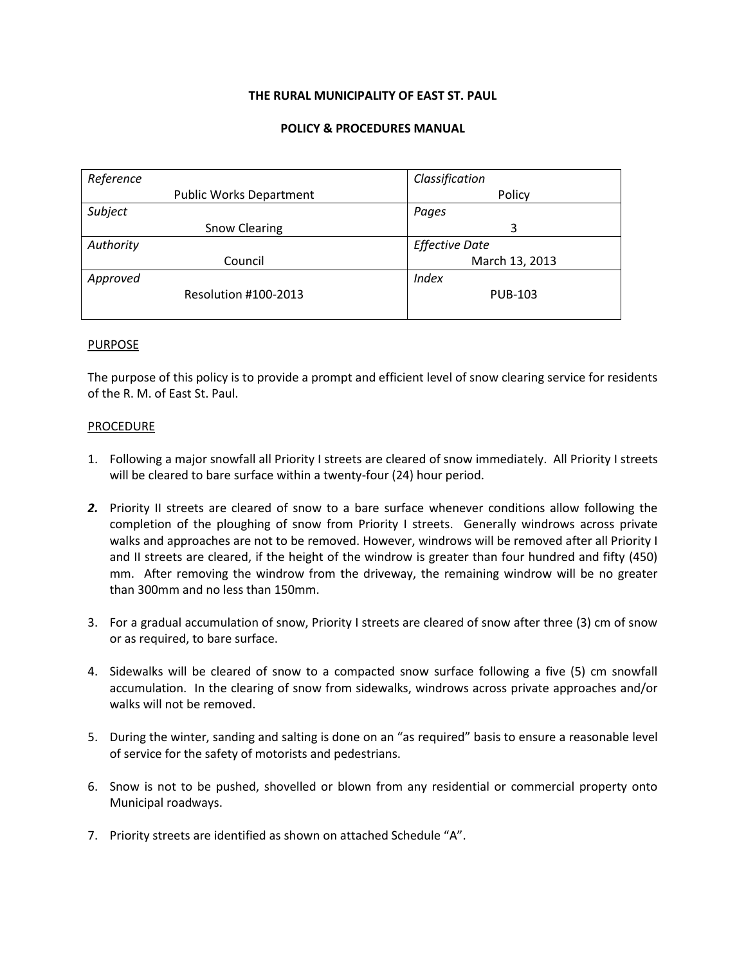### **THE RURAL MUNICIPALITY OF EAST ST. PAUL**

### **POLICY & PROCEDURES MANUAL**

| Reference |                                | Classification        |
|-----------|--------------------------------|-----------------------|
|           | <b>Public Works Department</b> | Policy                |
| Subject   |                                | Pages                 |
|           | <b>Snow Clearing</b>           | 3                     |
| Authority |                                | <b>Effective Date</b> |
|           | Council                        | March 13, 2013        |
| Approved  |                                | <b>Index</b>          |
|           | Resolution #100-2013           | <b>PUB-103</b>        |
|           |                                |                       |

### PURPOSE

The purpose of this policy is to provide a prompt and efficient level of snow clearing service for residents of the R. M. of East St. Paul.

### PROCEDURE

- 1. Following a major snowfall all Priority I streets are cleared of snow immediately. All Priority I streets will be cleared to bare surface within a twenty-four (24) hour period.
- *2.* Priority II streets are cleared of snow to a bare surface whenever conditions allow following the completion of the ploughing of snow from Priority I streets. Generally windrows across private walks and approaches are not to be removed. However, windrows will be removed after all Priority I and II streets are cleared, if the height of the windrow is greater than four hundred and fifty (450) mm. After removing the windrow from the driveway, the remaining windrow will be no greater than 300mm and no less than 150mm.
- 3. For a gradual accumulation of snow, Priority I streets are cleared of snow after three (3) cm of snow or as required, to bare surface.
- 4. Sidewalks will be cleared of snow to a compacted snow surface following a five (5) cm snowfall accumulation. In the clearing of snow from sidewalks, windrows across private approaches and/or walks will not be removed.
- 5. During the winter, sanding and salting is done on an "as required" basis to ensure a reasonable level of service for the safety of motorists and pedestrians.
- 6. Snow is not to be pushed, shovelled or blown from any residential or commercial property onto Municipal roadways.
- 7. Priority streets are identified as shown on attached Schedule "A".